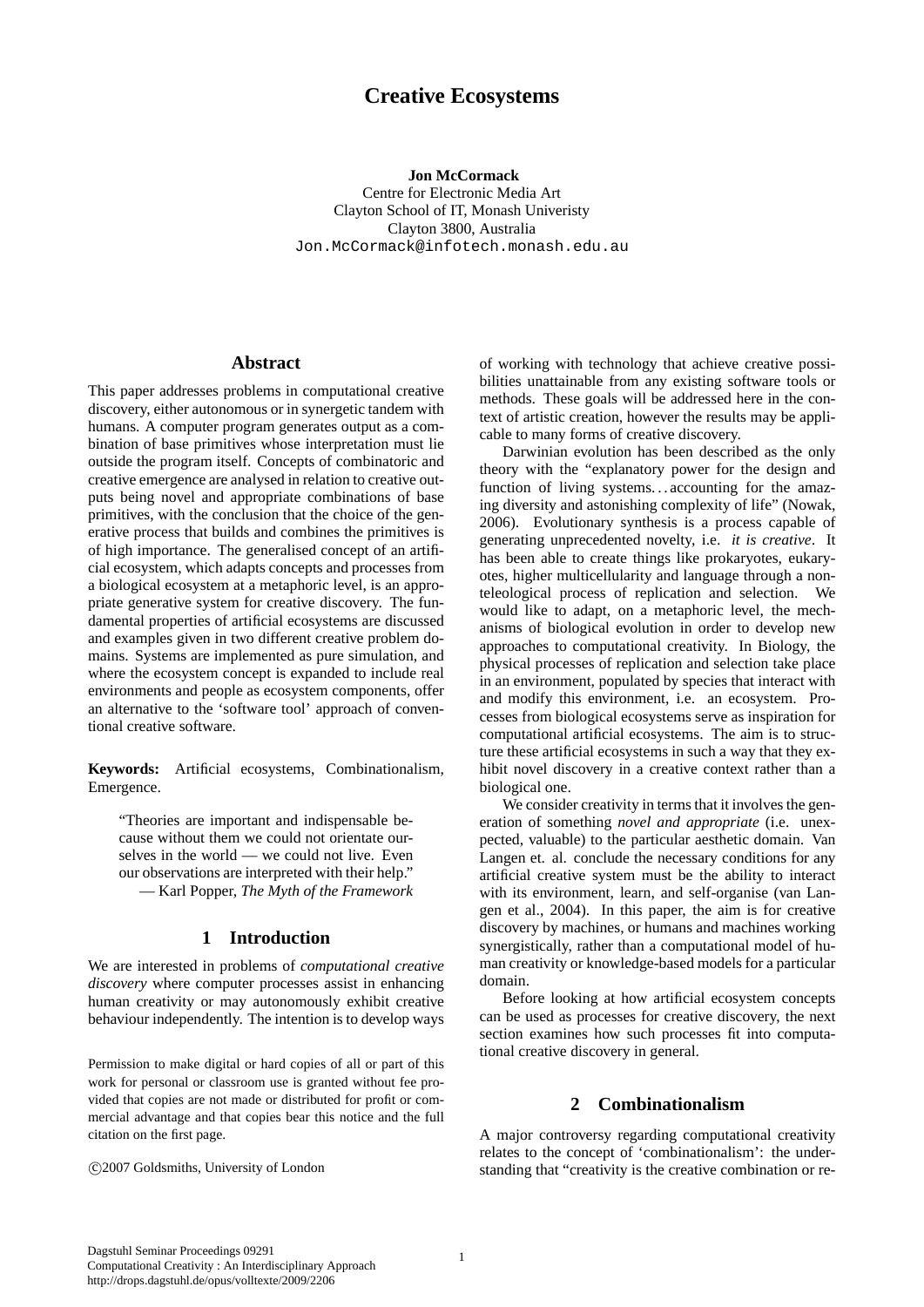# **Creative Ecosystems**

**Jon McCormack**

Centre for Electronic Media Art Clayton School of IT, Monash Univeristy Clayton 3800, Australia Jon.McCormack@infotech.monash.edu.au

## **Abstract**

This paper addresses problems in computational creative discovery, either autonomous or in synergetic tandem with humans. A computer program generates output as a combination of base primitives whose interpretation must lie outside the program itself. Concepts of combinatoric and creative emergence are analysed in relation to creative outputs being novel and appropriate combinations of base primitives, with the conclusion that the choice of the generative process that builds and combines the primitives is of high importance. The generalised concept of an artificial ecosystem, which adapts concepts and processes from a biological ecosystem at a metaphoric level, is an appropriate generative system for creative discovery. The fundamental properties of artificial ecosystems are discussed and examples given in two different creative problem domains. Systems are implemented as pure simulation, and where the ecosystem concept is expanded to include real environments and people as ecosystem components, offer an alternative to the 'software tool' approach of conventional creative software.

**Keywords:** Artificial ecosystems, Combinationalism, Emergence.

"Theories are important and indispensable because without them we could not orientate ourselves in the world — we could not live. Even our observations are interpreted with their help." — Karl Popper, *The Myth of the Framework*

# **1 Introduction**

We are interested in problems of *computational creative discovery* where computer processes assist in enhancing human creativity or may autonomously exhibit creative behaviour independently. The intention is to develop ways

Permission to make digital or hard copies of all or part of this work for personal or classroom use is granted without fee provided that copies are not made or distributed for profit or commercial advantage and that copies bear this notice and the full citation on the first page.

c 2007 Goldsmiths, University of London

of working with technology that achieve creative possibilities unattainable from any existing software tools or methods. These goals will be addressed here in the context of artistic creation, however the results may be applicable to many forms of creative discovery.

Darwinian evolution has been described as the only theory with the "explanatory power for the design and function of living systems...accounting for the amazing diversity and astonishing complexity of life" (Nowak, 2006). Evolutionary synthesis is a process capable of generating unprecedented novelty, i.e. *it is creative*. It has been able to create things like prokaryotes, eukaryotes, higher multicellularity and language through a nonteleological process of replication and selection. We would like to adapt, on a metaphoric level, the mechanisms of biological evolution in order to develop new approaches to computational creativity. In Biology, the physical processes of replication and selection take place in an environment, populated by species that interact with and modify this environment, i.e. an ecosystem. Processes from biological ecosystems serve as inspiration for computational artificial ecosystems. The aim is to structure these artificial ecosystems in such a way that they exhibit novel discovery in a creative context rather than a biological one.

We consider creativity in terms that it involves the generation of something *novel and appropriate* (i.e. unexpected, valuable) to the particular aesthetic domain. Van Langen et. al. conclude the necessary conditions for any artificial creative system must be the ability to interact with its environment, learn, and self-organise (van Langen et al., 2004). In this paper, the aim is for creative discovery by machines, or humans and machines working synergistically, rather than a computational model of human creativity or knowledge-based models for a particular domain.

Before looking at how artificial ecosystem concepts can be used as processes for creative discovery, the next section examines how such processes fit into computational creative discovery in general.

# **2 Combinationalism**

A major controversy regarding computational creativity relates to the concept of 'combinationalism': the understanding that "creativity is the creative combination or re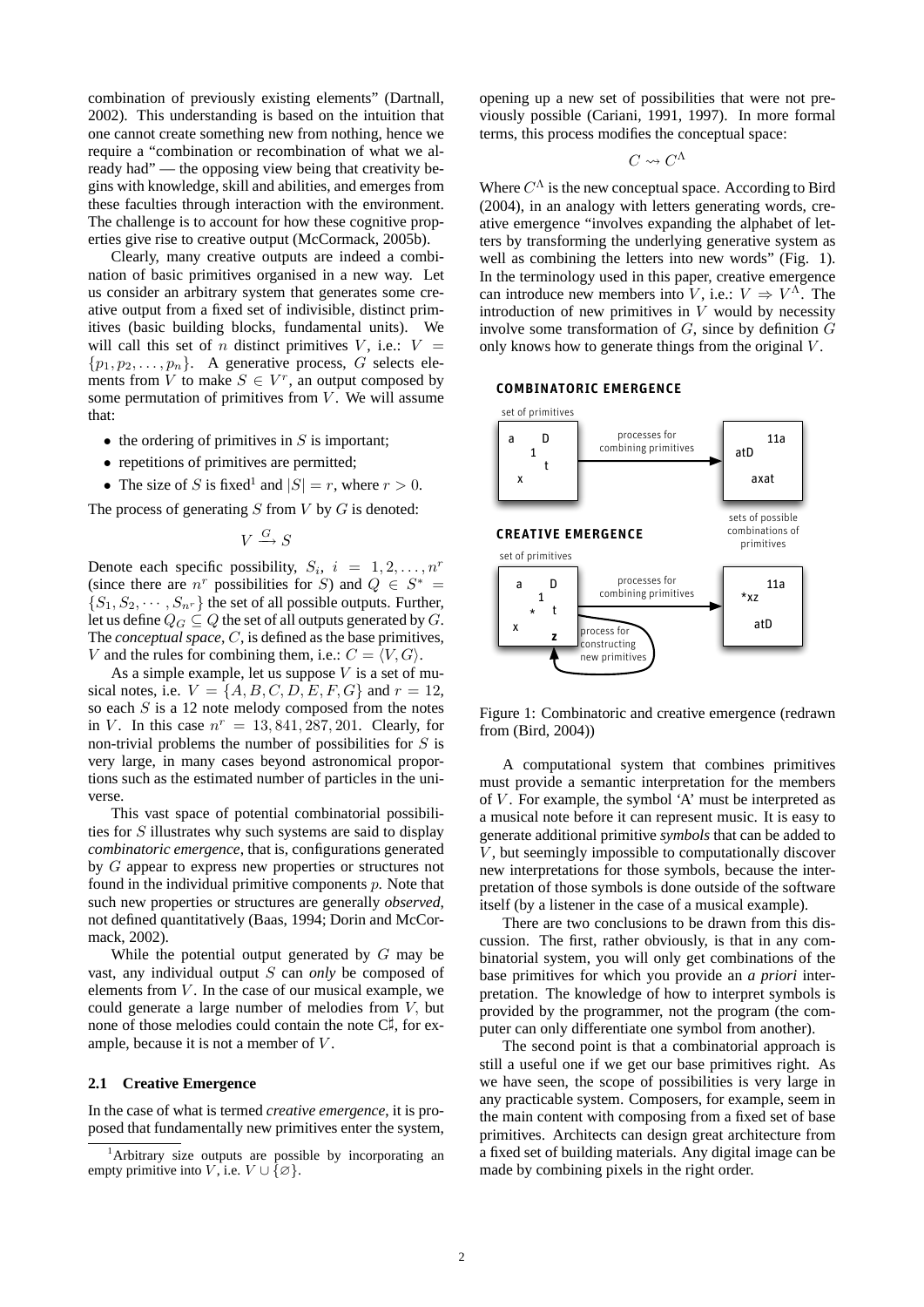combination of previously existing elements" (Dartnall, 2002). This understanding is based on the intuition that one cannot create something new from nothing, hence we require a "combination or recombination of what we already had" — the opposing view being that creativity begins with knowledge, skill and abilities, and emerges from these faculties through interaction with the environment. The challenge is to account for how these cognitive properties give rise to creative output (McCormack, 2005b).

Clearly, many creative outputs are indeed a combination of basic primitives organised in a new way. Let us consider an arbitrary system that generates some creative output from a fixed set of indivisible, distinct primitives (basic building blocks, fundamental units). We will call this set of n distinct primitives V, i.e.:  $V =$  $\{p_1, p_2, \ldots, p_n\}$ . A generative process, G selects elements from V to make  $S \in V^r$ , an output composed by some permutation of primitives from  $V$ . We will assume that:

- $\bullet$  the ordering of primitives in S is important;
- repetitions of primitives are permitted;
- The size of S is fixed<sup>1</sup> and  $|S| = r$ , where  $r > 0$ .

The process of generating  $S$  from  $V$  by  $G$  is denoted:

 $V \stackrel{G}{\longrightarrow} S$ 

Denote each specific possibility,  $S_i$ ,  $i = 1, 2, ..., n^r$ (since there are  $n^r$  possibilities for S) and  $Q \in S^* =$  $\{S_1, S_2, \cdots, S_{n^r}\}\$  the set of all possible outputs. Further, let us define  $Q_G \subseteq Q$  the set of all outputs generated by G. The *conceptual space*, C, is defined as the base primitives, V and the rules for combining them, i.e.:  $C = \langle V, G \rangle$ .

As a simple example, let us suppose  $V$  is a set of musical notes, i.e.  $V = \{A, B, C, D, E, F, G\}$  and  $r = 12$ , so each  $S$  is a 12 note melody composed from the notes in *V*. In this case  $n^r = 13,841,287,201$ . Clearly, for non-trivial problems the number of possibilities for  $S$  is very large, in many cases beyond astronomical proportions such as the estimated number of particles in the universe.

This vast space of potential combinatorial possibilities for S illustrates why such systems are said to display *combinatoric emergence*, that is, configurations generated by G appear to express new properties or structures not found in the individual primitive components  $p$ . Note that such new properties or structures are generally *observed*, not defined quantitatively (Baas, 1994; Dorin and McCormack, 2002).

While the potential output generated by  $G$  may be vast, any individual output S can *only* be composed of elements from  $V$ . In the case of our musical example, we could generate a large number of melodies from V, but none of those melodies could contain the note  $C^{\sharp}$ , for example, because it is not a member of V.

### **2.1 Creative Emergence**

In the case of what is termed *creative emergence*, it is proposed that fundamentally new primitives enter the system, opening up a new set of possibilities that were not previously possible (Cariani, 1991, 1997). In more formal terms, this process modifies the conceptual space:

 $C \leadsto C^{\Lambda}$ 

Where  $C^{\Lambda}$  is the new conceptual space. According to Bird (2004), in an analogy with letters generating words, creative emergence "involves expanding the alphabet of letters by transforming the underlying generative system as well as combining the letters into new words" (Fig. 1). In the terminology used in this paper, creative emergence can introduce new members into V, i.e.:  $V \Rightarrow V^{\Lambda}$ . The introduction of new primitives in  $V$  would by necessity involve some transformation of  $G$ , since by definition  $G$ only knows how to generate things from the original V .

#### combinatoric emergence



Figure 1: Combinatoric and creative emergence (redrawn from (Bird, 2004))

A computational system that combines primitives must provide a semantic interpretation for the members of  $V$ . For example, the symbol 'A' must be interpreted as a musical note before it can represent music. It is easy to generate additional primitive *symbols* that can be added to  $V$ , but seemingly impossible to computationally discover new interpretations for those symbols, because the interpretation of those symbols is done outside of the software itself (by a listener in the case of a musical example).

There are two conclusions to be drawn from this discussion. The first, rather obviously, is that in any combinatorial system, you will only get combinations of the base primitives for which you provide an *a priori* interpretation. The knowledge of how to interpret symbols is provided by the programmer, not the program (the computer can only differentiate one symbol from another).

The second point is that a combinatorial approach is still a useful one if we get our base primitives right. As we have seen, the scope of possibilities is very large in any practicable system. Composers, for example, seem in the main content with composing from a fixed set of base primitives. Architects can design great architecture from a fixed set of building materials. Any digital image can be made by combining pixels in the right order.

<sup>1</sup>Arbitrary size outputs are possible by incorporating an empty primitive into V, i.e.  $V \cup \{\emptyset\}$ .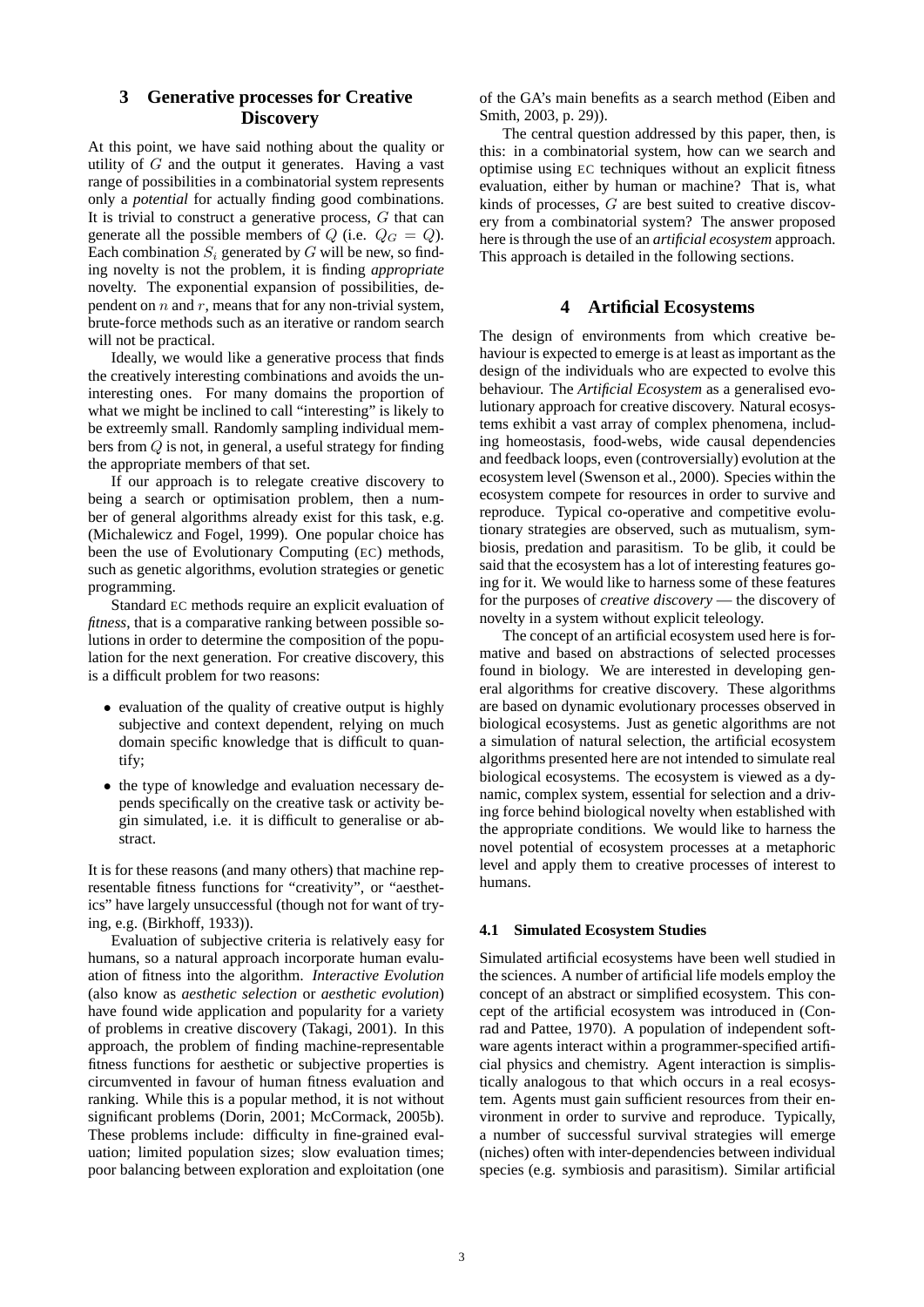# **3 Generative processes for Creative Discovery**

At this point, we have said nothing about the quality or utility of  $G$  and the output it generates. Having a vast range of possibilities in a combinatorial system represents only a *potential* for actually finding good combinations. It is trivial to construct a generative process, G that can generate all the possible members of Q (i.e.  $Q_G = Q$ ). Each combination  $S_i$  generated by G will be new, so finding novelty is not the problem, it is finding *appropriate* novelty. The exponential expansion of possibilities, dependent on  $n$  and  $r$ , means that for any non-trivial system, brute-force methods such as an iterative or random search will not be practical.

Ideally, we would like a generative process that finds the creatively interesting combinations and avoids the uninteresting ones. For many domains the proportion of what we might be inclined to call "interesting" is likely to be extreemly small. Randomly sampling individual members from Q is not, in general, a useful strategy for finding the appropriate members of that set.

If our approach is to relegate creative discovery to being a search or optimisation problem, then a number of general algorithms already exist for this task, e.g. (Michalewicz and Fogel, 1999). One popular choice has been the use of Evolutionary Computing (EC) methods, such as genetic algorithms, evolution strategies or genetic programming.

Standard EC methods require an explicit evaluation of *fitness*, that is a comparative ranking between possible solutions in order to determine the composition of the population for the next generation. For creative discovery, this is a difficult problem for two reasons:

- evaluation of the quality of creative output is highly subjective and context dependent, relying on much domain specific knowledge that is difficult to quantify;
- the type of knowledge and evaluation necessary depends specifically on the creative task or activity begin simulated, i.e. it is difficult to generalise or abstract.

It is for these reasons (and many others) that machine representable fitness functions for "creativity", or "aesthetics" have largely unsuccessful (though not for want of trying, e.g. (Birkhoff, 1933)).

Evaluation of subjective criteria is relatively easy for humans, so a natural approach incorporate human evaluation of fitness into the algorithm. *Interactive Evolution* (also know as *aesthetic selection* or *aesthetic evolution*) have found wide application and popularity for a variety of problems in creative discovery (Takagi, 2001). In this approach, the problem of finding machine-representable fitness functions for aesthetic or subjective properties is circumvented in favour of human fitness evaluation and ranking. While this is a popular method, it is not without significant problems (Dorin, 2001; McCormack, 2005b). These problems include: difficulty in fine-grained evaluation; limited population sizes; slow evaluation times; poor balancing between exploration and exploitation (one

of the GA's main benefits as a search method (Eiben and Smith, 2003, p. 29)).

The central question addressed by this paper, then, is this: in a combinatorial system, how can we search and optimise using EC techniques without an explicit fitness evaluation, either by human or machine? That is, what kinds of processes, G are best suited to creative discovery from a combinatorial system? The answer proposed here is through the use of an *artificial ecosystem* approach. This approach is detailed in the following sections.

## **4 Artificial Ecosystems**

The design of environments from which creative behaviour is expected to emerge is at least as important as the design of the individuals who are expected to evolve this behaviour. The *Artificial Ecosystem* as a generalised evolutionary approach for creative discovery. Natural ecosystems exhibit a vast array of complex phenomena, including homeostasis, food-webs, wide causal dependencies and feedback loops, even (controversially) evolution at the ecosystem level (Swenson et al., 2000). Species within the ecosystem compete for resources in order to survive and reproduce. Typical co-operative and competitive evolutionary strategies are observed, such as mutualism, symbiosis, predation and parasitism. To be glib, it could be said that the ecosystem has a lot of interesting features going for it. We would like to harness some of these features for the purposes of *creative discovery* — the discovery of novelty in a system without explicit teleology.

The concept of an artificial ecosystem used here is formative and based on abstractions of selected processes found in biology. We are interested in developing general algorithms for creative discovery. These algorithms are based on dynamic evolutionary processes observed in biological ecosystems. Just as genetic algorithms are not a simulation of natural selection, the artificial ecosystem algorithms presented here are not intended to simulate real biological ecosystems. The ecosystem is viewed as a dynamic, complex system, essential for selection and a driving force behind biological novelty when established with the appropriate conditions. We would like to harness the novel potential of ecosystem processes at a metaphoric level and apply them to creative processes of interest to humans.

#### **4.1 Simulated Ecosystem Studies**

Simulated artificial ecosystems have been well studied in the sciences. A number of artificial life models employ the concept of an abstract or simplified ecosystem. This concept of the artificial ecosystem was introduced in (Conrad and Pattee, 1970). A population of independent software agents interact within a programmer-specified artificial physics and chemistry. Agent interaction is simplistically analogous to that which occurs in a real ecosystem. Agents must gain sufficient resources from their environment in order to survive and reproduce. Typically, a number of successful survival strategies will emerge (niches) often with inter-dependencies between individual species (e.g. symbiosis and parasitism). Similar artificial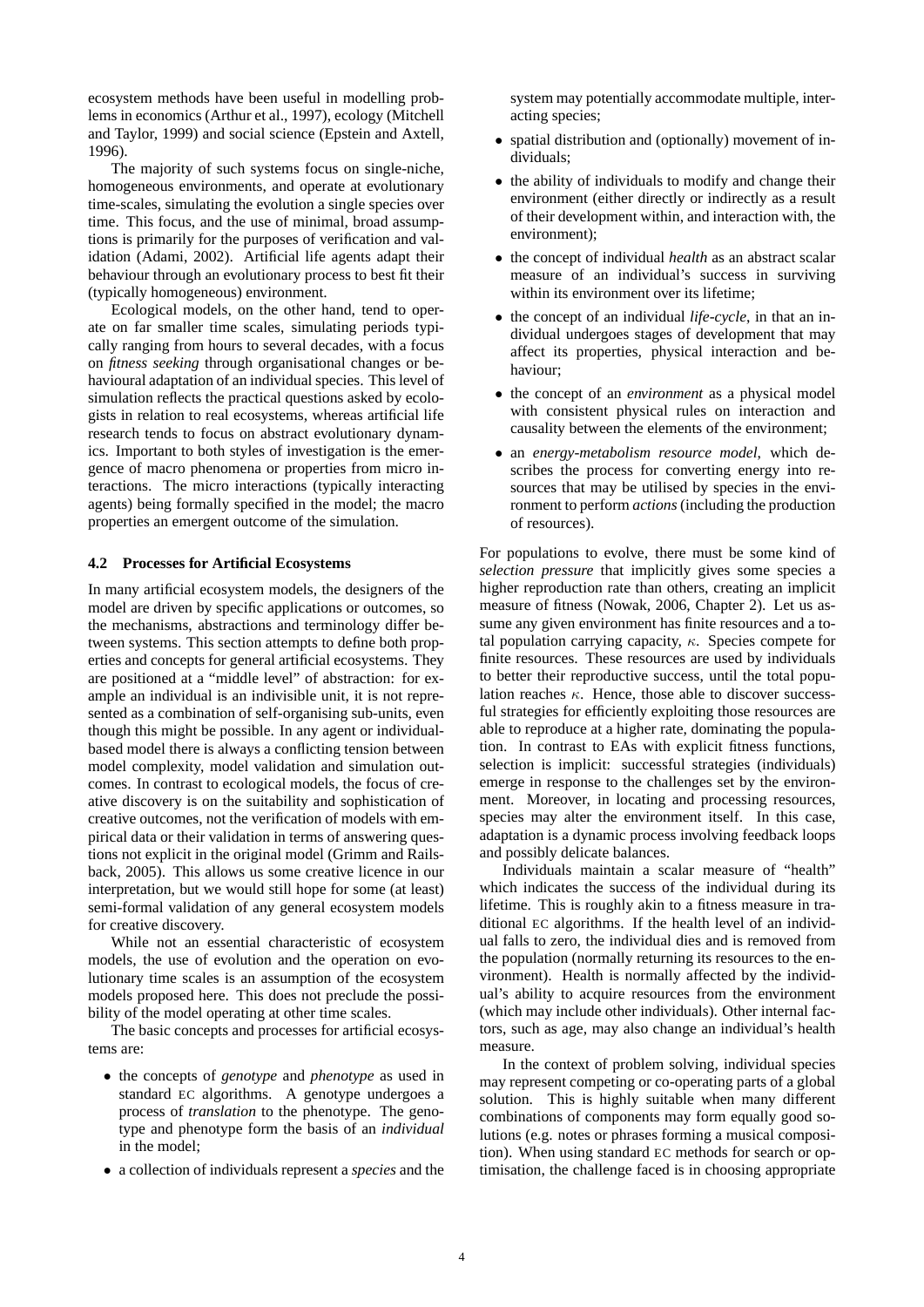ecosystem methods have been useful in modelling problems in economics (Arthur et al., 1997), ecology (Mitchell and Taylor, 1999) and social science (Epstein and Axtell, 1996).

The majority of such systems focus on single-niche, homogeneous environments, and operate at evolutionary time-scales, simulating the evolution a single species over time. This focus, and the use of minimal, broad assumptions is primarily for the purposes of verification and validation (Adami, 2002). Artificial life agents adapt their behaviour through an evolutionary process to best fit their (typically homogeneous) environment.

Ecological models, on the other hand, tend to operate on far smaller time scales, simulating periods typically ranging from hours to several decades, with a focus on *fitness seeking* through organisational changes or behavioural adaptation of an individual species. This level of simulation reflects the practical questions asked by ecologists in relation to real ecosystems, whereas artificial life research tends to focus on abstract evolutionary dynamics. Important to both styles of investigation is the emergence of macro phenomena or properties from micro interactions. The micro interactions (typically interacting agents) being formally specified in the model; the macro properties an emergent outcome of the simulation.

#### **4.2 Processes for Artificial Ecosystems**

In many artificial ecosystem models, the designers of the model are driven by specific applications or outcomes, so the mechanisms, abstractions and terminology differ between systems. This section attempts to define both properties and concepts for general artificial ecosystems. They are positioned at a "middle level" of abstraction: for example an individual is an indivisible unit, it is not represented as a combination of self-organising sub-units, even though this might be possible. In any agent or individualbased model there is always a conflicting tension between model complexity, model validation and simulation outcomes. In contrast to ecological models, the focus of creative discovery is on the suitability and sophistication of creative outcomes, not the verification of models with empirical data or their validation in terms of answering questions not explicit in the original model (Grimm and Railsback, 2005). This allows us some creative licence in our interpretation, but we would still hope for some (at least) semi-formal validation of any general ecosystem models for creative discovery.

While not an essential characteristic of ecosystem models, the use of evolution and the operation on evolutionary time scales is an assumption of the ecosystem models proposed here. This does not preclude the possibility of the model operating at other time scales.

The basic concepts and processes for artificial ecosystems are:

- the concepts of *genotype* and *phenotype* as used in standard EC algorithms. A genotype undergoes a process of *translation* to the phenotype. The genotype and phenotype form the basis of an *individual* in the model;
- a collection of individuals represent a *species* and the

system may potentially accommodate multiple, interacting species;

- spatial distribution and (optionally) movement of individuals;
- the ability of individuals to modify and change their environment (either directly or indirectly as a result of their development within, and interaction with, the environment);
- the concept of individual *health* as an abstract scalar measure of an individual's success in surviving within its environment over its lifetime;
- the concept of an individual *life-cycle*, in that an individual undergoes stages of development that may affect its properties, physical interaction and behaviour;
- the concept of an *environment* as a physical model with consistent physical rules on interaction and causality between the elements of the environment;
- an *energy-metabolism resource model*, which describes the process for converting energy into resources that may be utilised by species in the environment to perform *actions*(including the production of resources).

For populations to evolve, there must be some kind of *selection pressure* that implicitly gives some species a higher reproduction rate than others, creating an implicit measure of fitness (Nowak, 2006, Chapter 2). Let us assume any given environment has finite resources and a total population carrying capacity,  $\kappa$ . Species compete for finite resources. These resources are used by individuals to better their reproductive success, until the total population reaches  $\kappa$ . Hence, those able to discover successful strategies for efficiently exploiting those resources are able to reproduce at a higher rate, dominating the population. In contrast to EAs with explicit fitness functions, selection is implicit: successful strategies (individuals) emerge in response to the challenges set by the environment. Moreover, in locating and processing resources, species may alter the environment itself. In this case, adaptation is a dynamic process involving feedback loops and possibly delicate balances.

Individuals maintain a scalar measure of "health" which indicates the success of the individual during its lifetime. This is roughly akin to a fitness measure in traditional EC algorithms. If the health level of an individual falls to zero, the individual dies and is removed from the population (normally returning its resources to the environment). Health is normally affected by the individual's ability to acquire resources from the environment (which may include other individuals). Other internal factors, such as age, may also change an individual's health measure.

In the context of problem solving, individual species may represent competing or co-operating parts of a global solution. This is highly suitable when many different combinations of components may form equally good solutions (e.g. notes or phrases forming a musical composition). When using standard EC methods for search or optimisation, the challenge faced is in choosing appropriate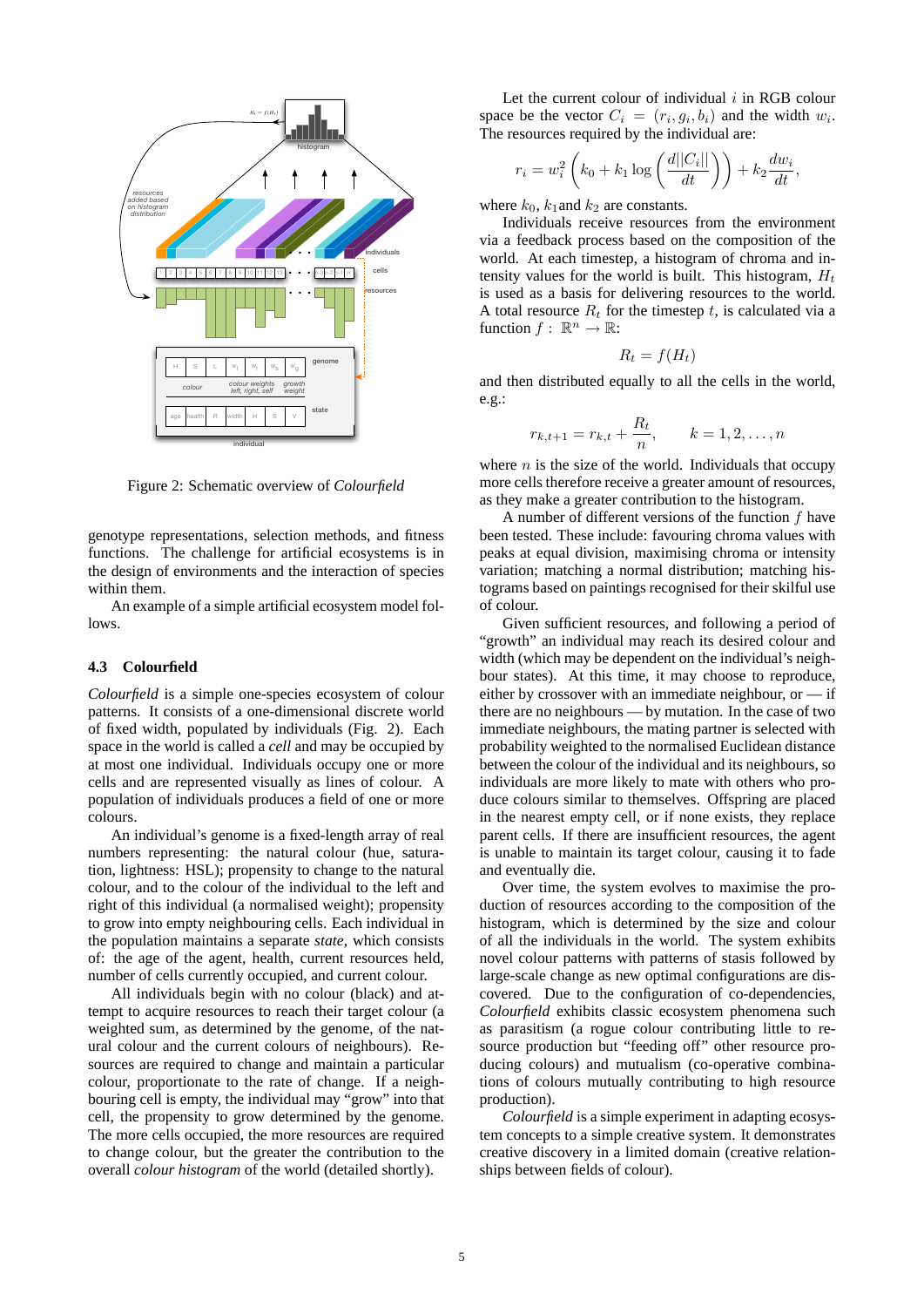

Figure 2: Schematic overview of *Colourfield*

genotype representations, selection methods, and fitness functions. The challenge for artificial ecosystems is in the design of environments and the interaction of species within them.

An example of a simple artificial ecosystem model follows.

#### **4.3 Colourfield**

*Colourfield* is a simple one-species ecosystem of colour patterns. It consists of a one-dimensional discrete world of fixed width, populated by individuals (Fig. 2). Each space in the world is called a *cell* and may be occupied by at most one individual. Individuals occupy one or more cells and are represented visually as lines of colour. A population of individuals produces a field of one or more colours.

An individual's genome is a fixed-length array of real numbers representing: the natural colour (hue, saturation, lightness: HSL); propensity to change to the natural colour, and to the colour of the individual to the left and right of this individual (a normalised weight); propensity to grow into empty neighbouring cells. Each individual in the population maintains a separate *state*, which consists of: the age of the agent, health, current resources held, number of cells currently occupied, and current colour.

All individuals begin with no colour (black) and attempt to acquire resources to reach their target colour (a weighted sum, as determined by the genome, of the natural colour and the current colours of neighbours). Resources are required to change and maintain a particular colour, proportionate to the rate of change. If a neighbouring cell is empty, the individual may "grow" into that cell, the propensity to grow determined by the genome. The more cells occupied, the more resources are required to change colour, but the greater the contribution to the overall *colour histogram* of the world (detailed shortly).

Let the current colour of individual  $i$  in RGB colour space be the vector  $C_i = (r_i, g_i, b_i)$  and the width  $w_i$ . The resources required by the individual are:

$$
r_i = w_i^2 \left( k_0 + k_1 \log \left( \frac{d||C_i||}{dt} \right) \right) + k_2 \frac{dw_i}{dt},
$$

where  $k_0$ ,  $k_1$  and  $k_2$  are constants.

Individuals receive resources from the environment via a feedback process based on the composition of the world. At each timestep, a histogram of chroma and intensity values for the world is built. This histogram,  $H_t$ is used as a basis for delivering resources to the world. A total resource  $R_t$  for the timestep t, is calculated via a function  $f: \mathbb{R}^n \to \mathbb{R}$ :

$$
R_t = f(H_t)
$$

and then distributed equally to all the cells in the world, e.g.:

$$
r_{k,t+1} = r_{k,t} + \frac{R_t}{n}, \qquad k = 1, 2, \dots, n
$$

where  $n$  is the size of the world. Individuals that occupy more cells therefore receive a greater amount of resources, as they make a greater contribution to the histogram.

A number of different versions of the function  $f$  have been tested. These include: favouring chroma values with peaks at equal division, maximising chroma or intensity variation; matching a normal distribution; matching histograms based on paintings recognised for their skilful use of colour.

Given sufficient resources, and following a period of "growth" an individual may reach its desired colour and width (which may be dependent on the individual's neighbour states). At this time, it may choose to reproduce, either by crossover with an immediate neighbour, or — if there are no neighbours — by mutation. In the case of two immediate neighbours, the mating partner is selected with probability weighted to the normalised Euclidean distance between the colour of the individual and its neighbours, so individuals are more likely to mate with others who produce colours similar to themselves. Offspring are placed in the nearest empty cell, or if none exists, they replace parent cells. If there are insufficient resources, the agent is unable to maintain its target colour, causing it to fade and eventually die.

Over time, the system evolves to maximise the production of resources according to the composition of the histogram, which is determined by the size and colour of all the individuals in the world. The system exhibits novel colour patterns with patterns of stasis followed by large-scale change as new optimal configurations are discovered. Due to the configuration of co-dependencies, *Colourfield* exhibits classic ecosystem phenomena such as parasitism (a rogue colour contributing little to resource production but "feeding off" other resource producing colours) and mutualism (co-operative combinations of colours mutually contributing to high resource production).

*Colourfield* is a simple experiment in adapting ecosystem concepts to a simple creative system. It demonstrates creative discovery in a limited domain (creative relationships between fields of colour).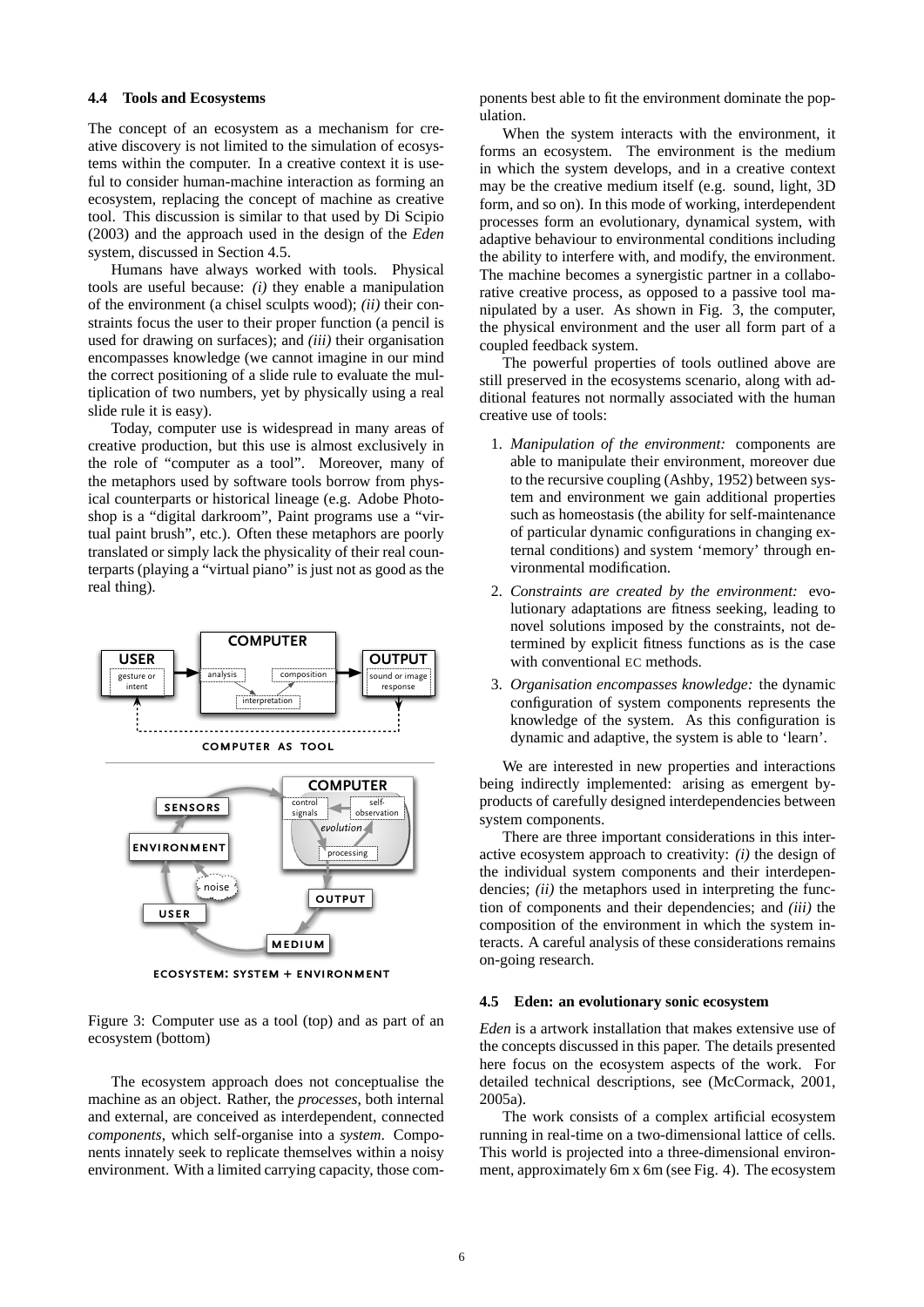#### **4.4 Tools and Ecosystems**

The concept of an ecosystem as a mechanism for creative discovery is not limited to the simulation of ecosystems within the computer. In a creative context it is useful to consider human-machine interaction as forming an ecosystem, replacing the concept of machine as creative tool. This discussion is similar to that used by Di Scipio (2003) and the approach used in the design of the *Eden* system, discussed in Section 4.5.

Humans have always worked with tools. Physical tools are useful because: *(i)* they enable a manipulation of the environment (a chisel sculpts wood); *(ii)* their constraints focus the user to their proper function (a pencil is used for drawing on surfaces); and *(iii)* their organisation encompasses knowledge (we cannot imagine in our mind the correct positioning of a slide rule to evaluate the multiplication of two numbers, yet by physically using a real slide rule it is easy).

Today, computer use is widespread in many areas of creative production, but this use is almost exclusively in the role of "computer as a tool". Moreover, many of the metaphors used by software tools borrow from physical counterparts or historical lineage (e.g. Adobe Photoshop is a "digital darkroom", Paint programs use a "virtual paint brush", etc.). Often these metaphors are poorly translated or simply lack the physicality of their real counterparts (playing a "virtual piano" is just not as good as the real thing).



**ecosystem: system + environment**

Figure 3: Computer use as a tool (top) and as part of an ecosystem (bottom)

The ecosystem approach does not conceptualise the machine as an object. Rather, the *processes*, both internal and external, are conceived as interdependent, connected *components*, which self-organise into a *system*. Components innately seek to replicate themselves within a noisy environment. With a limited carrying capacity, those components best able to fit the environment dominate the population.

When the system interacts with the environment, it forms an ecosystem. The environment is the medium in which the system develops, and in a creative context may be the creative medium itself (e.g. sound, light, 3D form, and so on). In this mode of working, interdependent processes form an evolutionary, dynamical system, with adaptive behaviour to environmental conditions including the ability to interfere with, and modify, the environment. The machine becomes a synergistic partner in a collaborative creative process, as opposed to a passive tool manipulated by a user. As shown in Fig. 3, the computer, the physical environment and the user all form part of a coupled feedback system.

The powerful properties of tools outlined above are still preserved in the ecosystems scenario, along with additional features not normally associated with the human creative use of tools:

- 1. *Manipulation of the environment:* components are able to manipulate their environment, moreover due to the recursive coupling (Ashby, 1952) between system and environment we gain additional properties such as homeostasis (the ability for self-maintenance of particular dynamic configurations in changing external conditions) and system 'memory' through environmental modification.
- 2. *Constraints are created by the environment:* evolutionary adaptations are fitness seeking, leading to novel solutions imposed by the constraints, not determined by explicit fitness functions as is the case with conventional EC methods.
- 3. *Organisation encompasses knowledge:* the dynamic configuration of system components represents the knowledge of the system. As this configuration is dynamic and adaptive, the system is able to 'learn'.

We are interested in new properties and interactions being indirectly implemented: arising as emergent byproducts of carefully designed interdependencies between system components.

There are three important considerations in this interactive ecosystem approach to creativity: *(i)* the design of the individual system components and their interdependencies; *(ii)* the metaphors used in interpreting the function of components and their dependencies; and *(iii)* the composition of the environment in which the system interacts. A careful analysis of these considerations remains on-going research.

# **4.5 Eden: an evolutionary sonic ecosystem**

*Eden* is a artwork installation that makes extensive use of the concepts discussed in this paper. The details presented here focus on the ecosystem aspects of the work. For detailed technical descriptions, see (McCormack, 2001, 2005a).

The work consists of a complex artificial ecosystem running in real-time on a two-dimensional lattice of cells. This world is projected into a three-dimensional environment, approximately 6m x 6m (see Fig. 4). The ecosystem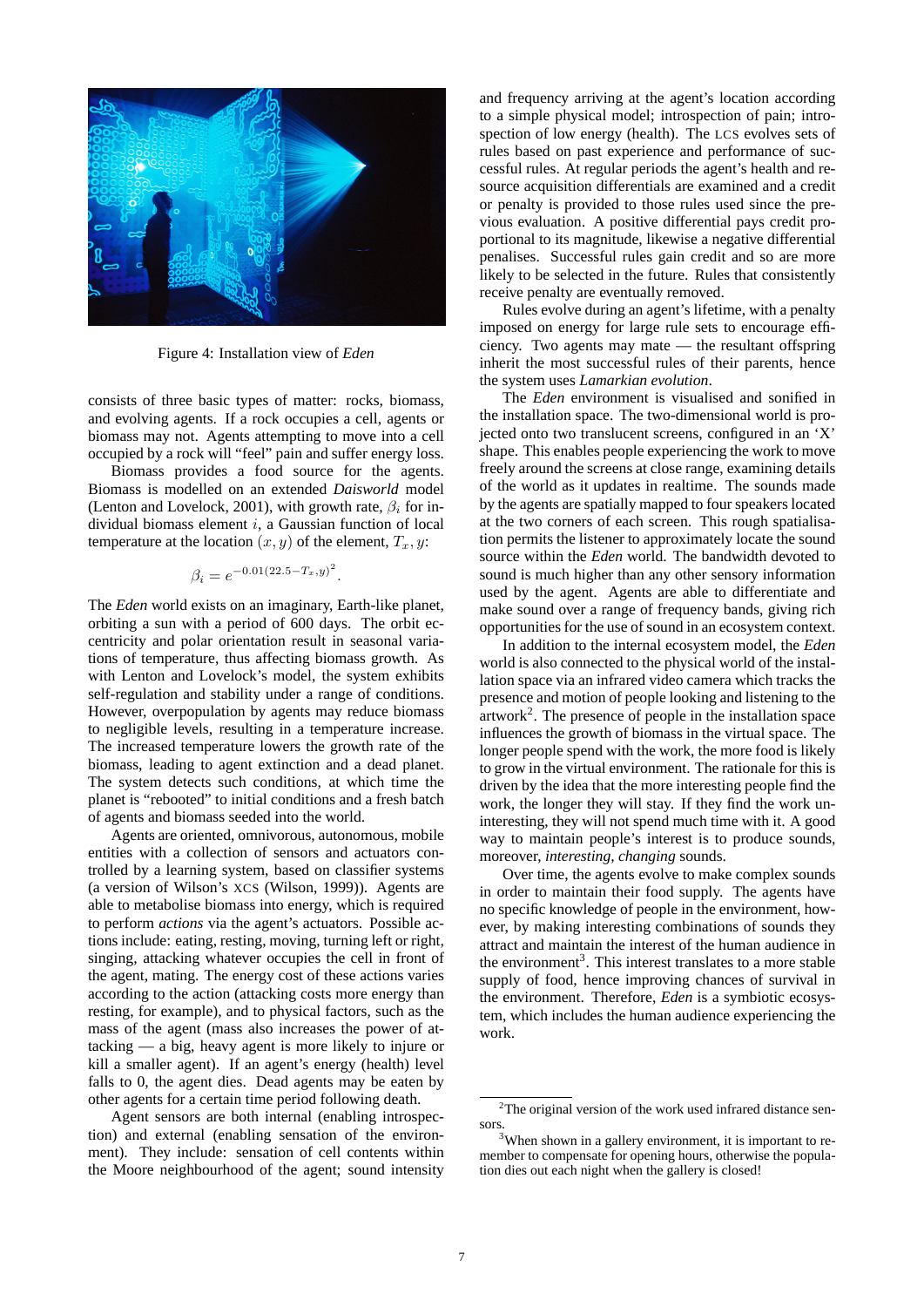

Figure 4: Installation view of *Eden*

consists of three basic types of matter: rocks, biomass, and evolving agents. If a rock occupies a cell, agents or biomass may not. Agents attempting to move into a cell occupied by a rock will "feel" pain and suffer energy loss.

Biomass provides a food source for the agents. Biomass is modelled on an extended *Daisworld* model (Lenton and Lovelock, 2001), with growth rate,  $\beta_i$  for individual biomass element  $i$ , a Gaussian function of local temperature at the location  $(x, y)$  of the element,  $T_x, y$ :

$$
\beta_i = e^{-0.01(22.5 - T_x, y)^2}.
$$

The *Eden* world exists on an imaginary, Earth-like planet, orbiting a sun with a period of 600 days. The orbit eccentricity and polar orientation result in seasonal variations of temperature, thus affecting biomass growth. As with Lenton and Lovelock's model, the system exhibits self-regulation and stability under a range of conditions. However, overpopulation by agents may reduce biomass to negligible levels, resulting in a temperature increase. The increased temperature lowers the growth rate of the biomass, leading to agent extinction and a dead planet. The system detects such conditions, at which time the planet is "rebooted" to initial conditions and a fresh batch of agents and biomass seeded into the world.

Agents are oriented, omnivorous, autonomous, mobile entities with a collection of sensors and actuators controlled by a learning system, based on classifier systems (a version of Wilson's XCS (Wilson, 1999)). Agents are able to metabolise biomass into energy, which is required to perform *actions* via the agent's actuators. Possible actions include: eating, resting, moving, turning left or right, singing, attacking whatever occupies the cell in front of the agent, mating. The energy cost of these actions varies according to the action (attacking costs more energy than resting, for example), and to physical factors, such as the mass of the agent (mass also increases the power of attacking — a big, heavy agent is more likely to injure or kill a smaller agent). If an agent's energy (health) level falls to 0, the agent dies. Dead agents may be eaten by other agents for a certain time period following death.

Agent sensors are both internal (enabling introspection) and external (enabling sensation of the environment). They include: sensation of cell contents within the Moore neighbourhood of the agent; sound intensity

and frequency arriving at the agent's location according to a simple physical model; introspection of pain; introspection of low energy (health). The LCS evolves sets of rules based on past experience and performance of successful rules. At regular periods the agent's health and resource acquisition differentials are examined and a credit or penalty is provided to those rules used since the previous evaluation. A positive differential pays credit proportional to its magnitude, likewise a negative differential penalises. Successful rules gain credit and so are more likely to be selected in the future. Rules that consistently receive penalty are eventually removed.

Rules evolve during an agent's lifetime, with a penalty imposed on energy for large rule sets to encourage efficiency. Two agents may mate — the resultant offspring inherit the most successful rules of their parents, hence the system uses *Lamarkian evolution*.

The *Eden* environment is visualised and sonified in the installation space. The two-dimensional world is projected onto two translucent screens, configured in an 'X' shape. This enables people experiencing the work to move freely around the screens at close range, examining details of the world as it updates in realtime. The sounds made by the agents are spatially mapped to four speakers located at the two corners of each screen. This rough spatialisation permits the listener to approximately locate the sound source within the *Eden* world. The bandwidth devoted to sound is much higher than any other sensory information used by the agent. Agents are able to differentiate and make sound over a range of frequency bands, giving rich opportunities for the use of sound in an ecosystem context.

In addition to the internal ecosystem model, the *Eden* world is also connected to the physical world of the installation space via an infrared video camera which tracks the presence and motion of people looking and listening to the artwork<sup>2</sup>. The presence of people in the installation space influences the growth of biomass in the virtual space. The longer people spend with the work, the more food is likely to grow in the virtual environment. The rationale for this is driven by the idea that the more interesting people find the work, the longer they will stay. If they find the work uninteresting, they will not spend much time with it. A good way to maintain people's interest is to produce sounds, moreover, *interesting, changing* sounds.

Over time, the agents evolve to make complex sounds in order to maintain their food supply. The agents have no specific knowledge of people in the environment, however, by making interesting combinations of sounds they attract and maintain the interest of the human audience in the environment<sup>3</sup>. This interest translates to a more stable supply of food, hence improving chances of survival in the environment. Therefore, *Eden* is a symbiotic ecosystem, which includes the human audience experiencing the work.

<sup>&</sup>lt;sup>2</sup>The original version of the work used infrared distance sensors.

<sup>&</sup>lt;sup>3</sup>When shown in a gallery environment, it is important to remember to compensate for opening hours, otherwise the population dies out each night when the gallery is closed!